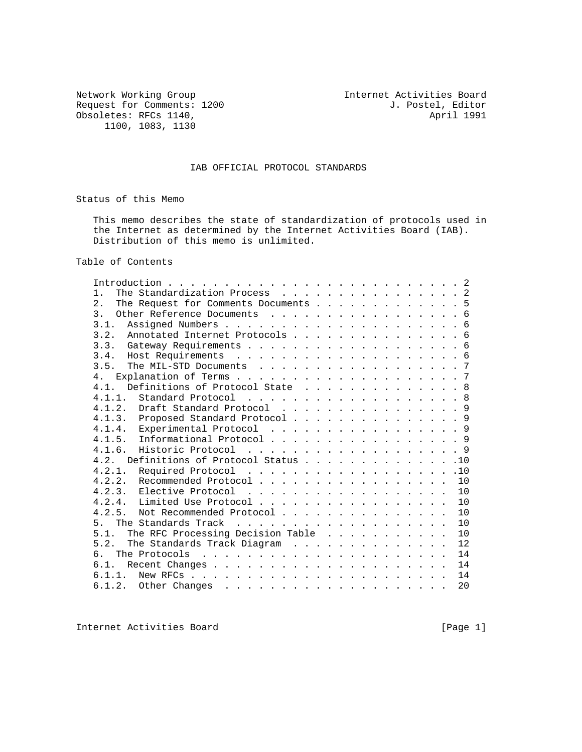Network Working Group<br>
Request for Comments: 1200 1. Postel, Editor<br>
J. Postel, Editor Request for Comments: 1200 J. Postel, Editor Obsoletes: RFCs 1140, Obsoletes: RFCs 1140, 1100, 1083, 1130

#### IAB OFFICIAL PROTOCOL STANDARDS

Status of this Memo

 This memo describes the state of standardization of protocols used in the Internet as determined by the Internet Activities Board (IAB). Distribution of this memo is unlimited.

Table of Contents

| The Standardization Process 2<br>1.        |  |  |  |  |  |    |
|--------------------------------------------|--|--|--|--|--|----|
| 2.<br>The Request for Comments Documents 5 |  |  |  |  |  |    |
| 3.<br>Other Reference Documents 6          |  |  |  |  |  |    |
| 3.1.                                       |  |  |  |  |  |    |
| 3.2. Annotated Internet Protocols 6        |  |  |  |  |  |    |
|                                            |  |  |  |  |  |    |
| 3.4.                                       |  |  |  |  |  |    |
| 3.5.<br>The MIL-STD Documents 7            |  |  |  |  |  |    |
| 4 <sub>1</sub>                             |  |  |  |  |  |    |
| Definitions of Protocol State 8<br>4.1.    |  |  |  |  |  |    |
| 4.1.1.<br>Standard Protocol 8              |  |  |  |  |  |    |
| 4.1.2. Draft Standard Protocol 9           |  |  |  |  |  |    |
| 4.1.3. Proposed Standard Protocol9         |  |  |  |  |  |    |
| 4.1.4. Experimental Protocol 9             |  |  |  |  |  |    |
| 4.1.5.<br>Informational Protocol 9         |  |  |  |  |  |    |
| 4.1.6.<br>Historic Protocol 9              |  |  |  |  |  |    |
| Definitions of Protocol Status 10<br>4.2.  |  |  |  |  |  |    |
| 4.2.1. Required Protocol 10                |  |  |  |  |  |    |
| 4.2.2. Recommended Protocol                |  |  |  |  |  | 10 |
|                                            |  |  |  |  |  | 10 |
|                                            |  |  |  |  |  | 10 |
| Not Recommended Protocol<br>4.2.5.         |  |  |  |  |  | 10 |
| 5 <sub>1</sub>                             |  |  |  |  |  | 10 |
| The RFC Processing Decision Table<br>5.1.  |  |  |  |  |  | 10 |
| The Standards Track Diagram<br>5.2.        |  |  |  |  |  | 12 |
| რ —                                        |  |  |  |  |  | 14 |
| 6.1.                                       |  |  |  |  |  | 14 |
| 6.1.1.                                     |  |  |  |  |  | 14 |
|                                            |  |  |  |  |  | 20 |
|                                            |  |  |  |  |  |    |

Internet Activities Board [Page 1]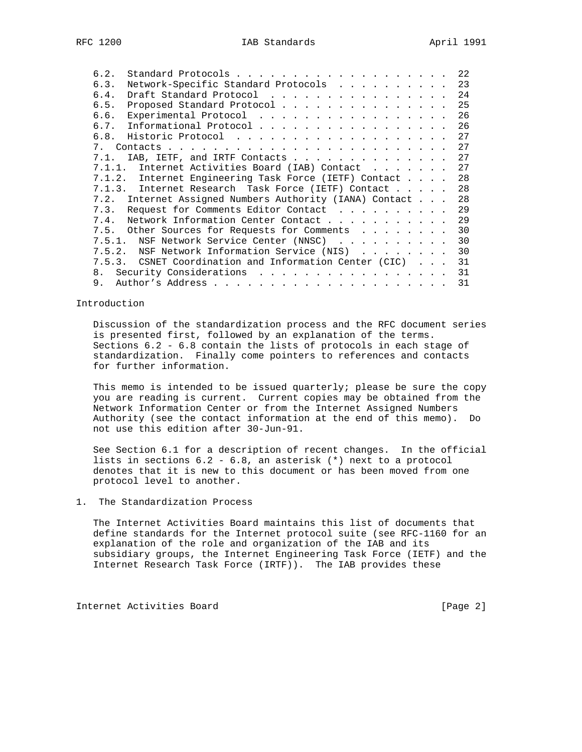| 6.2.        | Standard Protocols                                      |  | 22 |
|-------------|---------------------------------------------------------|--|----|
| 6.3.        | Network-Specific Standard Protocols                     |  | 23 |
| 6.4.        | Draft Standard Protocol                                 |  | 24 |
| 6.5.        | Proposed Standard Protocol                              |  | 25 |
| 6.6.        | Experimental Protocol                                   |  | 26 |
| 6.7.        | Informational Protocol                                  |  | 26 |
| 6.8.        |                                                         |  | 27 |
| $7_{\circ}$ |                                                         |  | 27 |
| 7.1.        | IAB, IETF, and IRTF Contacts                            |  | 27 |
| 7.1.1.      | Internet Activities Board (IAB) Contact                 |  | 27 |
|             | 7.1.2. Internet Engineering Task Force (IETF) Contact   |  | 28 |
|             | 7.1.3. Internet Research Task Force (IETF) Contact      |  | 28 |
|             | 7.2. Internet Assigned Numbers Authority (IANA) Contact |  | 28 |
| 7.3.        | Request for Comments Editor Contact                     |  | 29 |
| 7.4.        | Network Information Center Contact                      |  | 29 |
| 7.5.        | Other Sources for Requests for Comments                 |  | 30 |
| 7.5.1.      | NSF Network Service Center (NNSC)                       |  | 30 |
| 7.5.2.      | NSF Network Information Service (NIS)                   |  | 30 |
|             | 7.5.3. CSNET Coordination and Information Center (CIC)  |  | 31 |
| 8.          | Security Considerations                                 |  | 31 |
| 9.          |                                                         |  | 31 |
|             |                                                         |  |    |

#### Introduction

 Discussion of the standardization process and the RFC document series is presented first, followed by an explanation of the terms. Sections 6.2 - 6.8 contain the lists of protocols in each stage of standardization. Finally come pointers to references and contacts for further information.

 This memo is intended to be issued quarterly; please be sure the copy you are reading is current. Current copies may be obtained from the Network Information Center or from the Internet Assigned Numbers Authority (see the contact information at the end of this memo). Do not use this edition after 30-Jun-91.

 See Section 6.1 for a description of recent changes. In the official lists in sections 6.2 - 6.8, an asterisk (\*) next to a protocol denotes that it is new to this document or has been moved from one protocol level to another.

#### 1. The Standardization Process

 The Internet Activities Board maintains this list of documents that define standards for the Internet protocol suite (see RFC-1160 for an explanation of the role and organization of the IAB and its subsidiary groups, the Internet Engineering Task Force (IETF) and the Internet Research Task Force (IRTF)). The IAB provides these

Internet Activities Board [Page 2]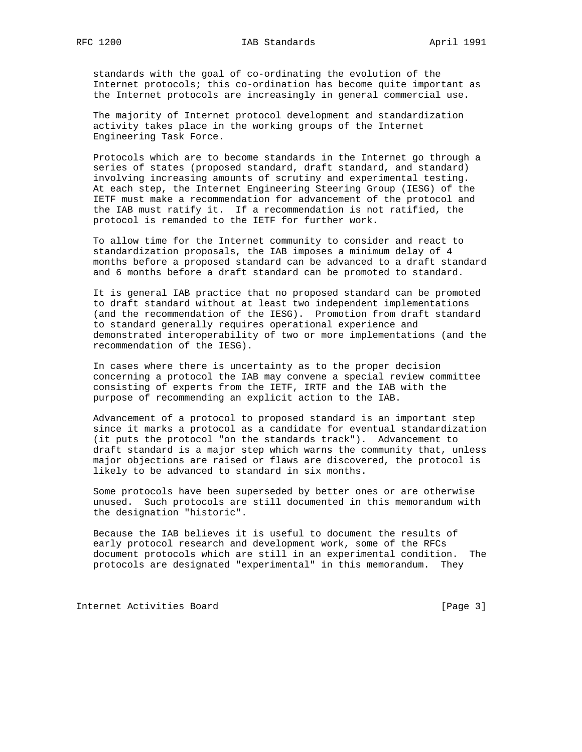standards with the goal of co-ordinating the evolution of the Internet protocols; this co-ordination has become quite important as the Internet protocols are increasingly in general commercial use.

 The majority of Internet protocol development and standardization activity takes place in the working groups of the Internet Engineering Task Force.

 Protocols which are to become standards in the Internet go through a series of states (proposed standard, draft standard, and standard) involving increasing amounts of scrutiny and experimental testing. At each step, the Internet Engineering Steering Group (IESG) of the IETF must make a recommendation for advancement of the protocol and the IAB must ratify it. If a recommendation is not ratified, the protocol is remanded to the IETF for further work.

 To allow time for the Internet community to consider and react to standardization proposals, the IAB imposes a minimum delay of 4 months before a proposed standard can be advanced to a draft standard and 6 months before a draft standard can be promoted to standard.

 It is general IAB practice that no proposed standard can be promoted to draft standard without at least two independent implementations (and the recommendation of the IESG). Promotion from draft standard to standard generally requires operational experience and demonstrated interoperability of two or more implementations (and the recommendation of the IESG).

 In cases where there is uncertainty as to the proper decision concerning a protocol the IAB may convene a special review committee consisting of experts from the IETF, IRTF and the IAB with the purpose of recommending an explicit action to the IAB.

 Advancement of a protocol to proposed standard is an important step since it marks a protocol as a candidate for eventual standardization (it puts the protocol "on the standards track"). Advancement to draft standard is a major step which warns the community that, unless major objections are raised or flaws are discovered, the protocol is likely to be advanced to standard in six months.

 Some protocols have been superseded by better ones or are otherwise unused. Such protocols are still documented in this memorandum with the designation "historic".

 Because the IAB believes it is useful to document the results of early protocol research and development work, some of the RFCs document protocols which are still in an experimental condition. The protocols are designated "experimental" in this memorandum. They

Internet Activities Board [Page 3]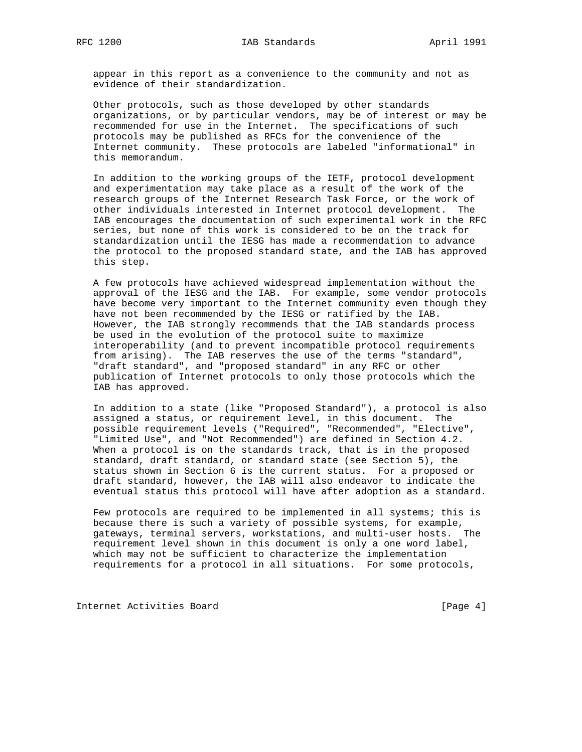appear in this report as a convenience to the community and not as evidence of their standardization.

 Other protocols, such as those developed by other standards organizations, or by particular vendors, may be of interest or may be recommended for use in the Internet. The specifications of such protocols may be published as RFCs for the convenience of the Internet community. These protocols are labeled "informational" in this memorandum.

 In addition to the working groups of the IETF, protocol development and experimentation may take place as a result of the work of the research groups of the Internet Research Task Force, or the work of other individuals interested in Internet protocol development. The IAB encourages the documentation of such experimental work in the RFC series, but none of this work is considered to be on the track for standardization until the IESG has made a recommendation to advance the protocol to the proposed standard state, and the IAB has approved this step.

 A few protocols have achieved widespread implementation without the approval of the IESG and the IAB. For example, some vendor protocols have become very important to the Internet community even though they have not been recommended by the IESG or ratified by the IAB. However, the IAB strongly recommends that the IAB standards process be used in the evolution of the protocol suite to maximize interoperability (and to prevent incompatible protocol requirements from arising). The IAB reserves the use of the terms "standard", "draft standard", and "proposed standard" in any RFC or other publication of Internet protocols to only those protocols which the IAB has approved.

 In addition to a state (like "Proposed Standard"), a protocol is also assigned a status, or requirement level, in this document. The possible requirement levels ("Required", "Recommended", "Elective", "Limited Use", and "Not Recommended") are defined in Section 4.2. When a protocol is on the standards track, that is in the proposed standard, draft standard, or standard state (see Section 5), the status shown in Section 6 is the current status. For a proposed or draft standard, however, the IAB will also endeavor to indicate the eventual status this protocol will have after adoption as a standard.

 Few protocols are required to be implemented in all systems; this is because there is such a variety of possible systems, for example, gateways, terminal servers, workstations, and multi-user hosts. The requirement level shown in this document is only a one word label, which may not be sufficient to characterize the implementation requirements for a protocol in all situations. For some protocols,

Internet Activities Board [Page 4]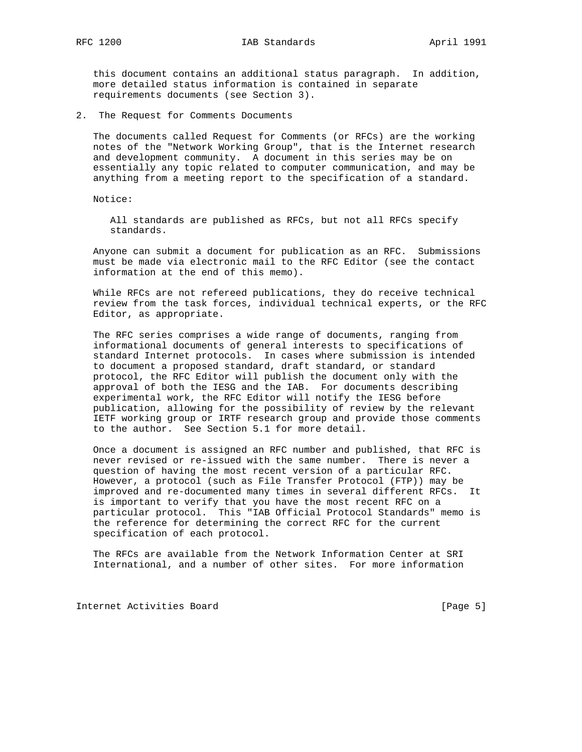this document contains an additional status paragraph. In addition, more detailed status information is contained in separate requirements documents (see Section 3).

2. The Request for Comments Documents

 The documents called Request for Comments (or RFCs) are the working notes of the "Network Working Group", that is the Internet research and development community. A document in this series may be on essentially any topic related to computer communication, and may be anything from a meeting report to the specification of a standard.

Notice:

 All standards are published as RFCs, but not all RFCs specify standards.

 Anyone can submit a document for publication as an RFC. Submissions must be made via electronic mail to the RFC Editor (see the contact information at the end of this memo).

 While RFCs are not refereed publications, they do receive technical review from the task forces, individual technical experts, or the RFC Editor, as appropriate.

 The RFC series comprises a wide range of documents, ranging from informational documents of general interests to specifications of standard Internet protocols. In cases where submission is intended to document a proposed standard, draft standard, or standard protocol, the RFC Editor will publish the document only with the approval of both the IESG and the IAB. For documents describing experimental work, the RFC Editor will notify the IESG before publication, allowing for the possibility of review by the relevant IETF working group or IRTF research group and provide those comments to the author. See Section 5.1 for more detail.

 Once a document is assigned an RFC number and published, that RFC is never revised or re-issued with the same number. There is never a question of having the most recent version of a particular RFC. However, a protocol (such as File Transfer Protocol (FTP)) may be improved and re-documented many times in several different RFCs. It is important to verify that you have the most recent RFC on a particular protocol. This "IAB Official Protocol Standards" memo is the reference for determining the correct RFC for the current specification of each protocol.

 The RFCs are available from the Network Information Center at SRI International, and a number of other sites. For more information

Internet Activities Board [Page 5]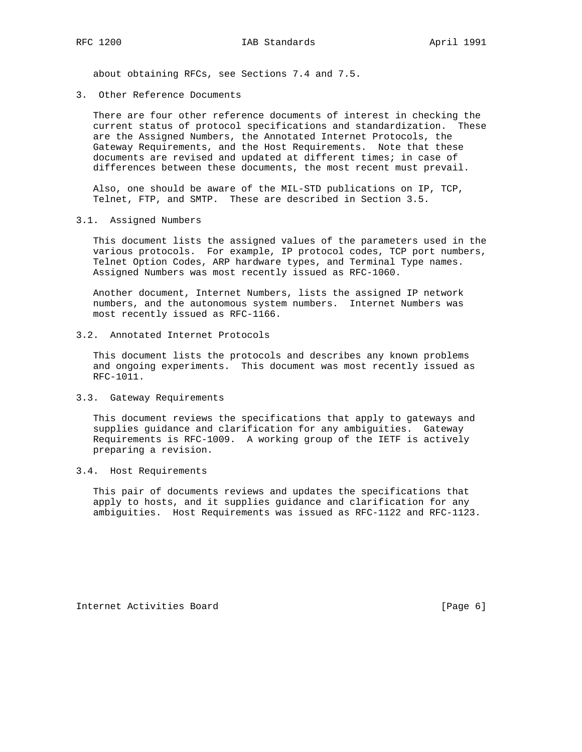about obtaining RFCs, see Sections 7.4 and 7.5.

3. Other Reference Documents

 There are four other reference documents of interest in checking the current status of protocol specifications and standardization. These are the Assigned Numbers, the Annotated Internet Protocols, the Gateway Requirements, and the Host Requirements. Note that these documents are revised and updated at different times; in case of differences between these documents, the most recent must prevail.

 Also, one should be aware of the MIL-STD publications on IP, TCP, Telnet, FTP, and SMTP. These are described in Section 3.5.

3.1. Assigned Numbers

 This document lists the assigned values of the parameters used in the various protocols. For example, IP protocol codes, TCP port numbers, Telnet Option Codes, ARP hardware types, and Terminal Type names. Assigned Numbers was most recently issued as RFC-1060.

 Another document, Internet Numbers, lists the assigned IP network numbers, and the autonomous system numbers. Internet Numbers was most recently issued as RFC-1166.

3.2. Annotated Internet Protocols

 This document lists the protocols and describes any known problems and ongoing experiments. This document was most recently issued as RFC-1011.

3.3. Gateway Requirements

 This document reviews the specifications that apply to gateways and supplies guidance and clarification for any ambiguities. Gateway Requirements is RFC-1009. A working group of the IETF is actively preparing a revision.

3.4. Host Requirements

 This pair of documents reviews and updates the specifications that apply to hosts, and it supplies guidance and clarification for any ambiguities. Host Requirements was issued as RFC-1122 and RFC-1123.

Internet Activities Board [Page 6]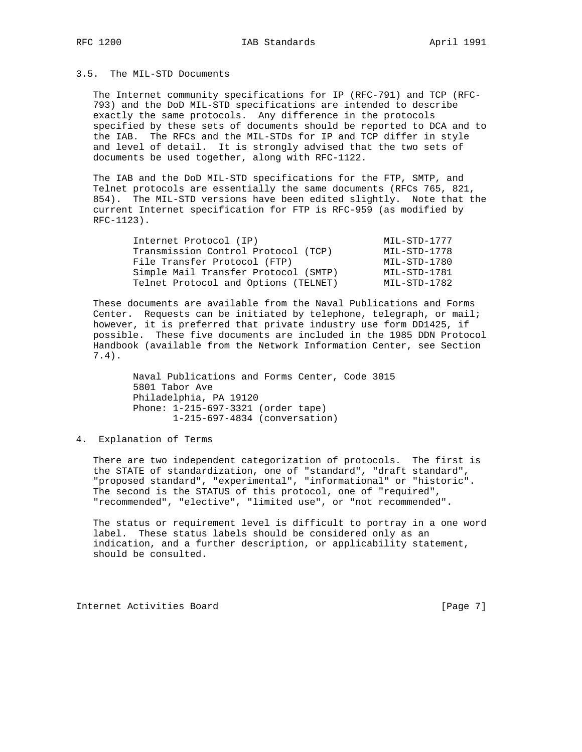### 3.5. The MIL-STD Documents

 The Internet community specifications for IP (RFC-791) and TCP (RFC- 793) and the DoD MIL-STD specifications are intended to describe exactly the same protocols. Any difference in the protocols specified by these sets of documents should be reported to DCA and to the IAB. The RFCs and the MIL-STDs for IP and TCP differ in style and level of detail. It is strongly advised that the two sets of documents be used together, along with RFC-1122.

 The IAB and the DoD MIL-STD specifications for the FTP, SMTP, and Telnet protocols are essentially the same documents (RFCs 765, 821, 854). The MIL-STD versions have been edited slightly. Note that the current Internet specification for FTP is RFC-959 (as modified by RFC-1123).

| Internet Protocol (IP)               | MIL-STD-1777 |
|--------------------------------------|--------------|
| Transmission Control Protocol (TCP)  | MIL-STD-1778 |
| File Transfer Protocol (FTP)         | MIL-STD-1780 |
| Simple Mail Transfer Protocol (SMTP) | MIL-STD-1781 |
| Telnet Protocol and Options (TELNET) | MIL-STD-1782 |

 These documents are available from the Naval Publications and Forms Center. Requests can be initiated by telephone, telegraph, or mail; however, it is preferred that private industry use form DD1425, if possible. These five documents are included in the 1985 DDN Protocol Handbook (available from the Network Information Center, see Section 7.4).

> Naval Publications and Forms Center, Code 3015 5801 Tabor Ave Philadelphia, PA 19120 Phone: 1-215-697-3321 (order tape) 1-215-697-4834 (conversation)

4. Explanation of Terms

 There are two independent categorization of protocols. The first is the STATE of standardization, one of "standard", "draft standard", "proposed standard", "experimental", "informational" or "historic". The second is the STATUS of this protocol, one of "required", "recommended", "elective", "limited use", or "not recommended".

 The status or requirement level is difficult to portray in a one word label. These status labels should be considered only as an indication, and a further description, or applicability statement, should be consulted.

Internet Activities Board [Page 7]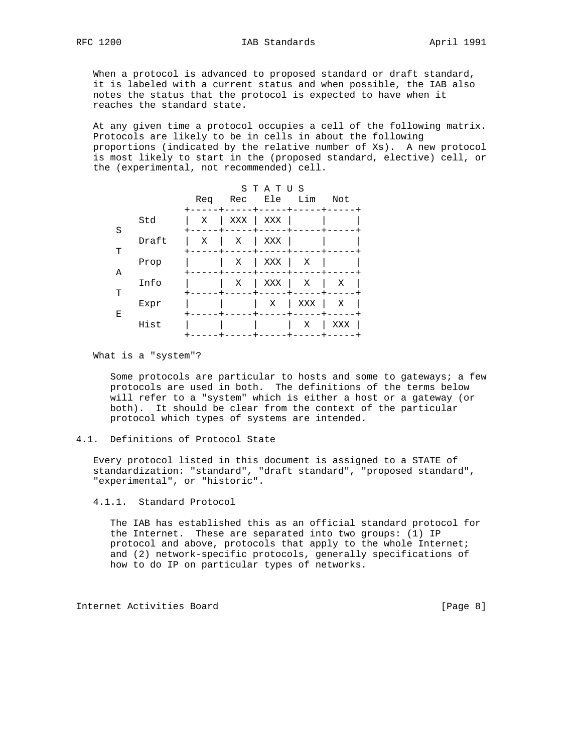When a protocol is advanced to proposed standard or draft standard, it is labeled with a current status and when possible, the IAB also notes the status that the protocol is expected to have when it reaches the standard state.

 At any given time a protocol occupies a cell of the following matrix. Protocols are likely to be in cells in about the following proportions (indicated by the relative number of Xs). A new protocol is most likely to start in the (proposed standard, elective) cell, or the (experimental, not recommended) cell.

|   |       | Req | Rec | STATUS<br>Ele | Lim | Not |
|---|-------|-----|-----|---------------|-----|-----|
| S | Std   | Χ   | XXX | XXX           |     |     |
| т | Draft | Χ   | Χ   | XXX           |     |     |
| Α | Prop  |     | Χ   | XXX           | Χ   |     |
| т | Info  |     | Χ   | XXX           | Χ   | Χ   |
| Ε | Expr  |     |     | Χ             | XXX | Χ   |
|   | Hist  |     |     |               | Χ   | XXX |

What is a "system"?

 Some protocols are particular to hosts and some to gateways; a few protocols are used in both. The definitions of the terms below will refer to a "system" which is either a host or a gateway (or both). It should be clear from the context of the particular protocol which types of systems are intended.

 Every protocol listed in this document is assigned to a STATE of standardization: "standard", "draft standard", "proposed standard", "experimental", or "historic".

4.1.1. Standard Protocol

 The IAB has established this as an official standard protocol for the Internet. These are separated into two groups: (1) IP protocol and above, protocols that apply to the whole Internet; and (2) network-specific protocols, generally specifications of how to do IP on particular types of networks.

Internet Activities Board [Page 8]

<sup>4.1.</sup> Definitions of Protocol State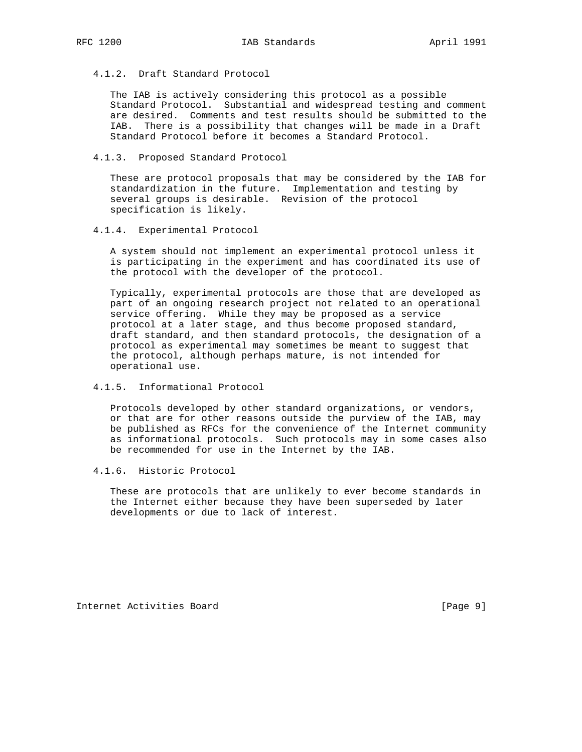4.1.2. Draft Standard Protocol

 The IAB is actively considering this protocol as a possible Standard Protocol. Substantial and widespread testing and comment are desired. Comments and test results should be submitted to the IAB. There is a possibility that changes will be made in a Draft Standard Protocol before it becomes a Standard Protocol.

4.1.3. Proposed Standard Protocol

 These are protocol proposals that may be considered by the IAB for standardization in the future. Implementation and testing by several groups is desirable. Revision of the protocol specification is likely.

4.1.4. Experimental Protocol

 A system should not implement an experimental protocol unless it is participating in the experiment and has coordinated its use of the protocol with the developer of the protocol.

 Typically, experimental protocols are those that are developed as part of an ongoing research project not related to an operational service offering. While they may be proposed as a service protocol at a later stage, and thus become proposed standard, draft standard, and then standard protocols, the designation of a protocol as experimental may sometimes be meant to suggest that the protocol, although perhaps mature, is not intended for operational use.

4.1.5. Informational Protocol

 Protocols developed by other standard organizations, or vendors, or that are for other reasons outside the purview of the IAB, may be published as RFCs for the convenience of the Internet community as informational protocols. Such protocols may in some cases also be recommended for use in the Internet by the IAB.

4.1.6. Historic Protocol

 These are protocols that are unlikely to ever become standards in the Internet either because they have been superseded by later developments or due to lack of interest.

Internet Activities Board [Page 9]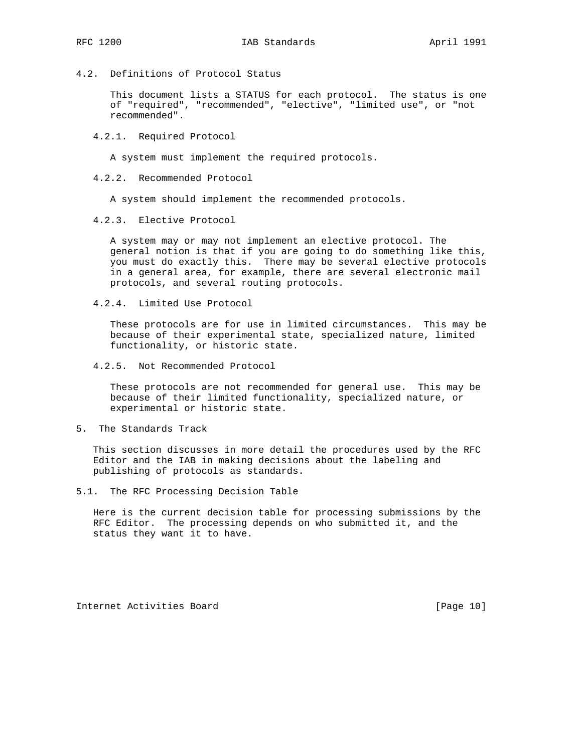4.2. Definitions of Protocol Status

 This document lists a STATUS for each protocol. The status is one of "required", "recommended", "elective", "limited use", or "not recommended".

4.2.1. Required Protocol

A system must implement the required protocols.

4.2.2. Recommended Protocol

A system should implement the recommended protocols.

4.2.3. Elective Protocol

 A system may or may not implement an elective protocol. The general notion is that if you are going to do something like this, you must do exactly this. There may be several elective protocols in a general area, for example, there are several electronic mail protocols, and several routing protocols.

4.2.4. Limited Use Protocol

 These protocols are for use in limited circumstances. This may be because of their experimental state, specialized nature, limited functionality, or historic state.

4.2.5. Not Recommended Protocol

 These protocols are not recommended for general use. This may be because of their limited functionality, specialized nature, or experimental or historic state.

5. The Standards Track

 This section discusses in more detail the procedures used by the RFC Editor and the IAB in making decisions about the labeling and publishing of protocols as standards.

5.1. The RFC Processing Decision Table

 Here is the current decision table for processing submissions by the RFC Editor. The processing depends on who submitted it, and the status they want it to have.

Internet Activities Board [Page 10]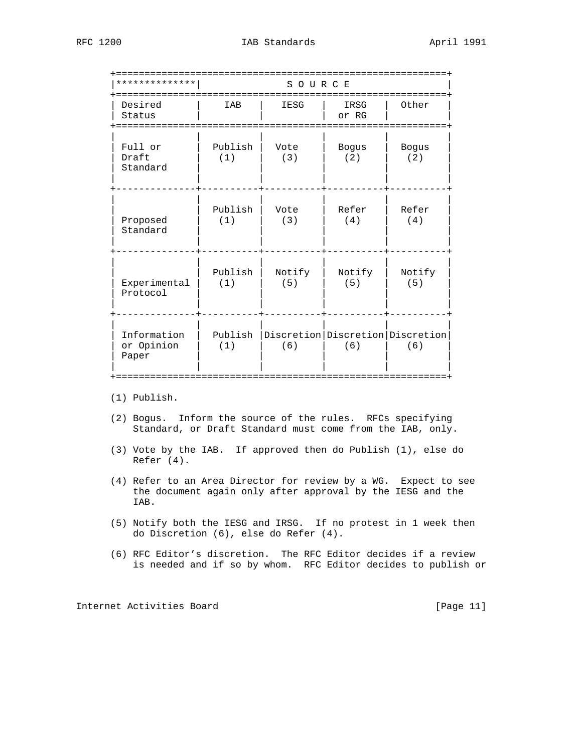| * * * * * * * * * * *              |                | SOURCE        |                     |                                               |  |  |  |
|------------------------------------|----------------|---------------|---------------------|-----------------------------------------------|--|--|--|
| Desired<br>Status                  | IAB            | IESG          | IRSG<br>or RG       | Other                                         |  |  |  |
| Full or<br>Draft<br>Standard       | Publish<br>(1) | Vote<br>(3)   | <b>Bogus</b><br>(2) | <b>Bogus</b><br>(2)                           |  |  |  |
| Proposed<br>Standard               | Publish<br>(1) | Vote<br>(3)   | Refer<br>(4)        | Refer<br>(4)                                  |  |  |  |
| Experimental<br>Protocol           | Publish<br>(1) | Notify<br>(5) | Notify<br>(5)       | Notify<br>(5)                                 |  |  |  |
| Information<br>or Opinion<br>Paper | Publish<br>(1) | (6)           | (6)                 | Discretion   Discretion   Discretion  <br>(6) |  |  |  |

(1) Publish.

- (2) Bogus. Inform the source of the rules. RFCs specifying Standard, or Draft Standard must come from the IAB, only.
- (3) Vote by the IAB. If approved then do Publish (1), else do Refer (4).
- (4) Refer to an Area Director for review by a WG. Expect to see the document again only after approval by the IESG and the IAB.
- (5) Notify both the IESG and IRSG. If no protest in 1 week then do Discretion (6), else do Refer (4).
- (6) RFC Editor's discretion. The RFC Editor decides if a review is needed and if so by whom. RFC Editor decides to publish or

Internet Activities Board [Page 11]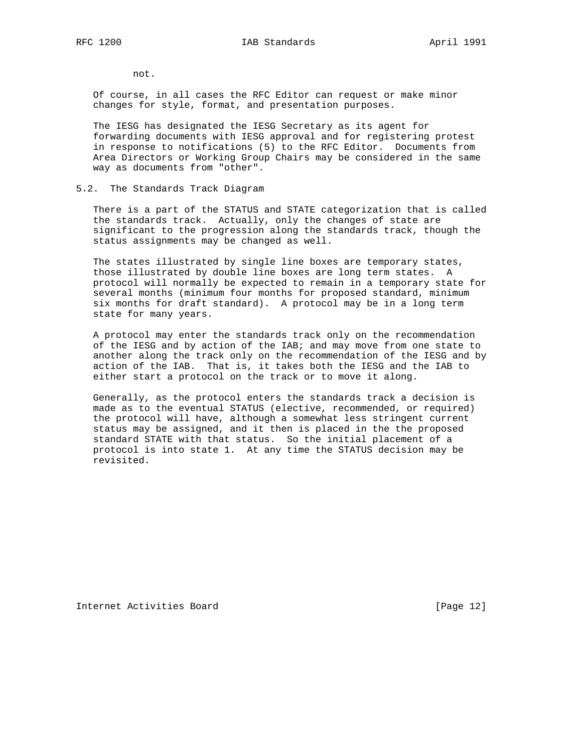not.

 Of course, in all cases the RFC Editor can request or make minor changes for style, format, and presentation purposes.

 The IESG has designated the IESG Secretary as its agent for forwarding documents with IESG approval and for registering protest in response to notifications (5) to the RFC Editor. Documents from Area Directors or Working Group Chairs may be considered in the same way as documents from "other".

#### 5.2. The Standards Track Diagram

 There is a part of the STATUS and STATE categorization that is called the standards track. Actually, only the changes of state are significant to the progression along the standards track, though the status assignments may be changed as well.

 The states illustrated by single line boxes are temporary states, those illustrated by double line boxes are long term states. A protocol will normally be expected to remain in a temporary state for several months (minimum four months for proposed standard, minimum six months for draft standard). A protocol may be in a long term state for many years.

 A protocol may enter the standards track only on the recommendation of the IESG and by action of the IAB; and may move from one state to another along the track only on the recommendation of the IESG and by action of the IAB. That is, it takes both the IESG and the IAB to either start a protocol on the track or to move it along.

 Generally, as the protocol enters the standards track a decision is made as to the eventual STATUS (elective, recommended, or required) the protocol will have, although a somewhat less stringent current status may be assigned, and it then is placed in the the proposed standard STATE with that status. So the initial placement of a protocol is into state 1. At any time the STATUS decision may be revisited.

Internet Activities Board [Page 12]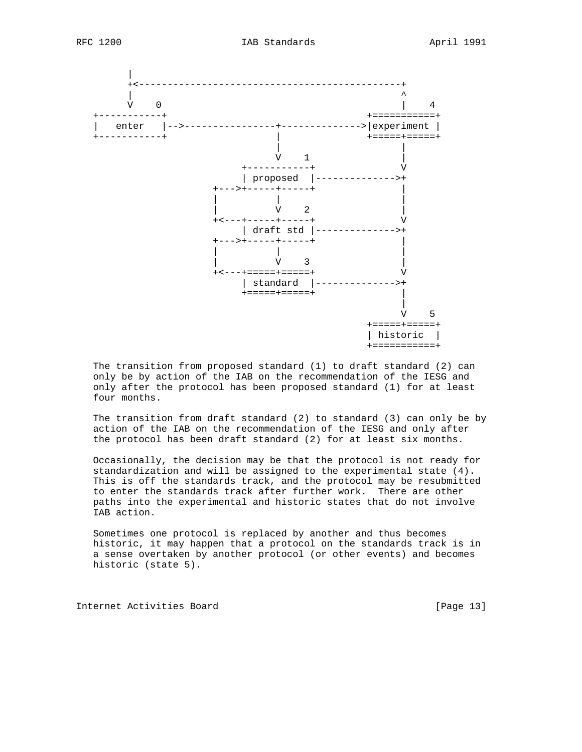

 The transition from proposed standard (1) to draft standard (2) can only be by action of the IAB on the recommendation of the IESG and only after the protocol has been proposed standard (1) for at least four months.

 The transition from draft standard (2) to standard (3) can only be by action of the IAB on the recommendation of the IESG and only after the protocol has been draft standard (2) for at least six months.

 Occasionally, the decision may be that the protocol is not ready for standardization and will be assigned to the experimental state (4). This is off the standards track, and the protocol may be resubmitted to enter the standards track after further work. There are other paths into the experimental and historic states that do not involve IAB action.

 Sometimes one protocol is replaced by another and thus becomes historic, it may happen that a protocol on the standards track is in a sense overtaken by another protocol (or other events) and becomes historic (state 5).

Internet Activities Board [Page 13]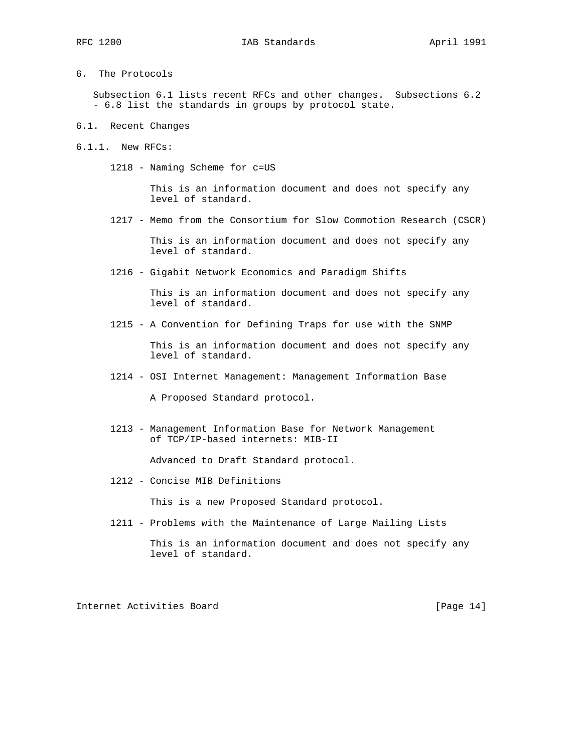6. The Protocols

 Subsection 6.1 lists recent RFCs and other changes. Subsections 6.2 - 6.8 list the standards in groups by protocol state.

- 6.1. Recent Changes
- 6.1.1. New RFCs:
	- 1218 Naming Scheme for c=US

 This is an information document and does not specify any level of standard.

1217 - Memo from the Consortium for Slow Commotion Research (CSCR)

 This is an information document and does not specify any level of standard.

1216 - Gigabit Network Economics and Paradigm Shifts

 This is an information document and does not specify any level of standard.

1215 - A Convention for Defining Traps for use with the SNMP

 This is an information document and does not specify any level of standard.

1214 - OSI Internet Management: Management Information Base

A Proposed Standard protocol.

 1213 - Management Information Base for Network Management of TCP/IP-based internets: MIB-II

Advanced to Draft Standard protocol.

1212 - Concise MIB Definitions

This is a new Proposed Standard protocol.

1211 - Problems with the Maintenance of Large Mailing Lists

 This is an information document and does not specify any level of standard.

Internet Activities Board [Page 14]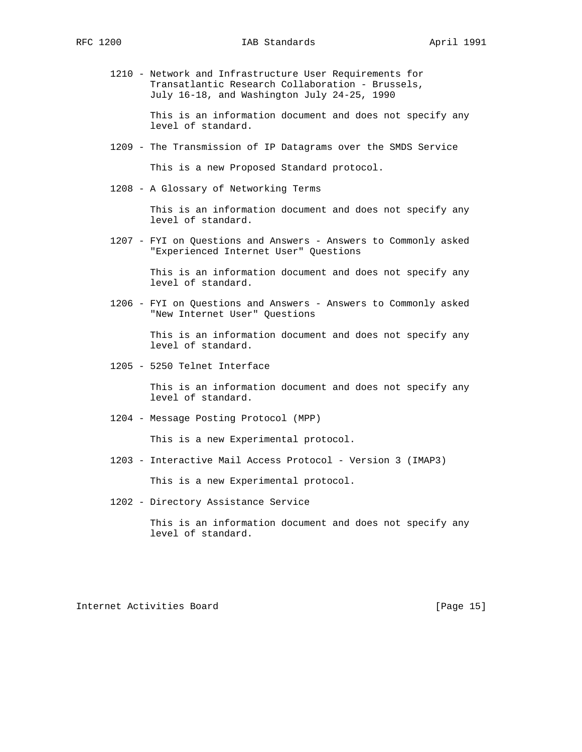1210 - Network and Infrastructure User Requirements for Transatlantic Research Collaboration - Brussels, July 16-18, and Washington July 24-25, 1990

> This is an information document and does not specify any level of standard.

1209 - The Transmission of IP Datagrams over the SMDS Service

This is a new Proposed Standard protocol.

1208 - A Glossary of Networking Terms

 This is an information document and does not specify any level of standard.

 1207 - FYI on Questions and Answers - Answers to Commonly asked "Experienced Internet User" Questions

> This is an information document and does not specify any level of standard.

 1206 - FYI on Questions and Answers - Answers to Commonly asked "New Internet User" Questions

> This is an information document and does not specify any level of standard.

1205 - 5250 Telnet Interface

 This is an information document and does not specify any level of standard.

1204 - Message Posting Protocol (MPP)

This is a new Experimental protocol.

1203 - Interactive Mail Access Protocol - Version 3 (IMAP3)

This is a new Experimental protocol.

1202 - Directory Assistance Service

 This is an information document and does not specify any level of standard.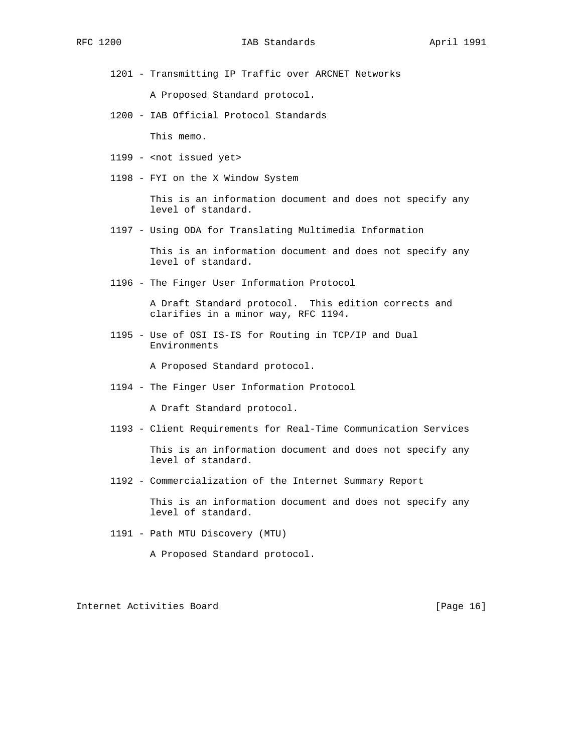1201 - Transmitting IP Traffic over ARCNET Networks

A Proposed Standard protocol.

1200 - IAB Official Protocol Standards

This memo.

- 1199 <not issued yet>
- 1198 FYI on the X Window System

 This is an information document and does not specify any level of standard.

1197 - Using ODA for Translating Multimedia Information

 This is an information document and does not specify any level of standard.

1196 - The Finger User Information Protocol

 A Draft Standard protocol. This edition corrects and clarifies in a minor way, RFC 1194.

 1195 - Use of OSI IS-IS for Routing in TCP/IP and Dual Environments

A Proposed Standard protocol.

1194 - The Finger User Information Protocol

A Draft Standard protocol.

1193 - Client Requirements for Real-Time Communication Services

 This is an information document and does not specify any level of standard.

1192 - Commercialization of the Internet Summary Report

 This is an information document and does not specify any level of standard.

1191 - Path MTU Discovery (MTU)

A Proposed Standard protocol.

Internet Activities Board [Page 16]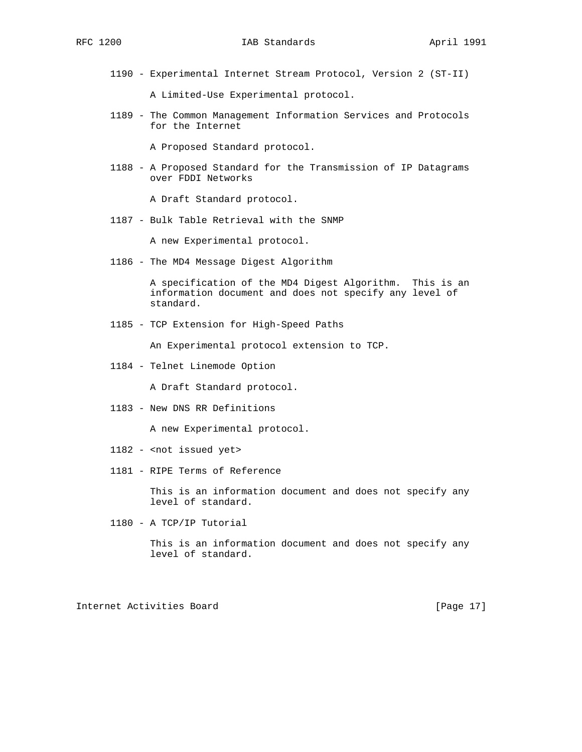1190 - Experimental Internet Stream Protocol, Version 2 (ST-II)

A Limited-Use Experimental protocol.

 1189 - The Common Management Information Services and Protocols for the Internet

A Proposed Standard protocol.

 1188 - A Proposed Standard for the Transmission of IP Datagrams over FDDI Networks

A Draft Standard protocol.

1187 - Bulk Table Retrieval with the SNMP

A new Experimental protocol.

1186 - The MD4 Message Digest Algorithm

 A specification of the MD4 Digest Algorithm. This is an information document and does not specify any level of standard.

1185 - TCP Extension for High-Speed Paths

An Experimental protocol extension to TCP.

1184 - Telnet Linemode Option

A Draft Standard protocol.

1183 - New DNS RR Definitions

A new Experimental protocol.

- 1182 <not issued yet>
- 1181 RIPE Terms of Reference

 This is an information document and does not specify any level of standard.

1180 - A TCP/IP Tutorial

 This is an information document and does not specify any level of standard.

Internet Activities Board [Page 17]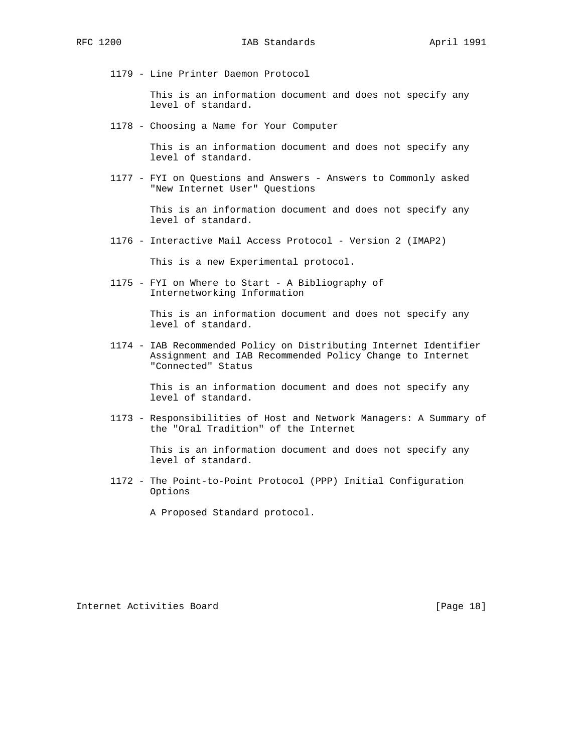1179 - Line Printer Daemon Protocol

 This is an information document and does not specify any level of standard.

1178 - Choosing a Name for Your Computer

 This is an information document and does not specify any level of standard.

 1177 - FYI on Questions and Answers - Answers to Commonly asked "New Internet User" Questions

> This is an information document and does not specify any level of standard.

1176 - Interactive Mail Access Protocol - Version 2 (IMAP2)

This is a new Experimental protocol.

 1175 - FYI on Where to Start - A Bibliography of Internetworking Information

> This is an information document and does not specify any level of standard.

 1174 - IAB Recommended Policy on Distributing Internet Identifier Assignment and IAB Recommended Policy Change to Internet "Connected" Status

> This is an information document and does not specify any level of standard.

 1173 - Responsibilities of Host and Network Managers: A Summary of the "Oral Tradition" of the Internet

> This is an information document and does not specify any level of standard.

 1172 - The Point-to-Point Protocol (PPP) Initial Configuration Options

A Proposed Standard protocol.

Internet Activities Board [Page 18]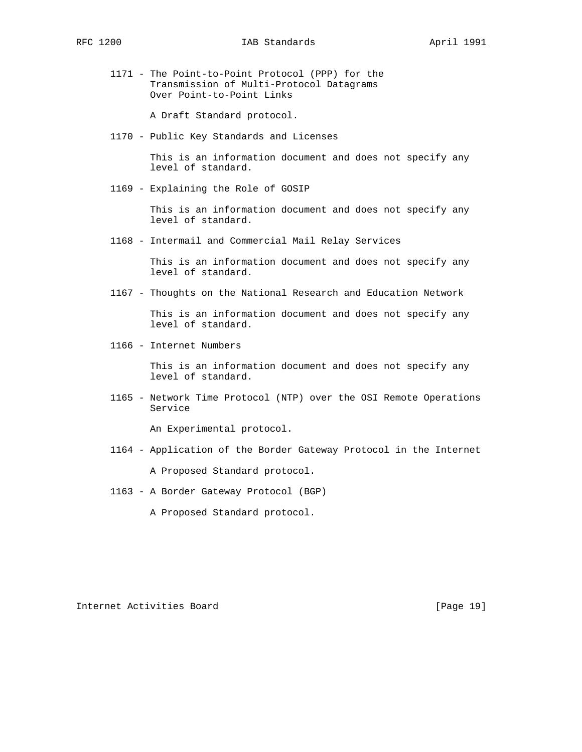1171 - The Point-to-Point Protocol (PPP) for the Transmission of Multi-Protocol Datagrams Over Point-to-Point Links

A Draft Standard protocol.

1170 - Public Key Standards and Licenses

 This is an information document and does not specify any level of standard.

1169 - Explaining the Role of GOSIP

 This is an information document and does not specify any level of standard.

1168 - Intermail and Commercial Mail Relay Services

 This is an information document and does not specify any level of standard.

1167 - Thoughts on the National Research and Education Network

 This is an information document and does not specify any level of standard.

1166 - Internet Numbers

 This is an information document and does not specify any level of standard.

 1165 - Network Time Protocol (NTP) over the OSI Remote Operations Service

An Experimental protocol.

1164 - Application of the Border Gateway Protocol in the Internet

A Proposed Standard protocol.

- 1163 A Border Gateway Protocol (BGP)
	- A Proposed Standard protocol.

Internet Activities Board [Page 19]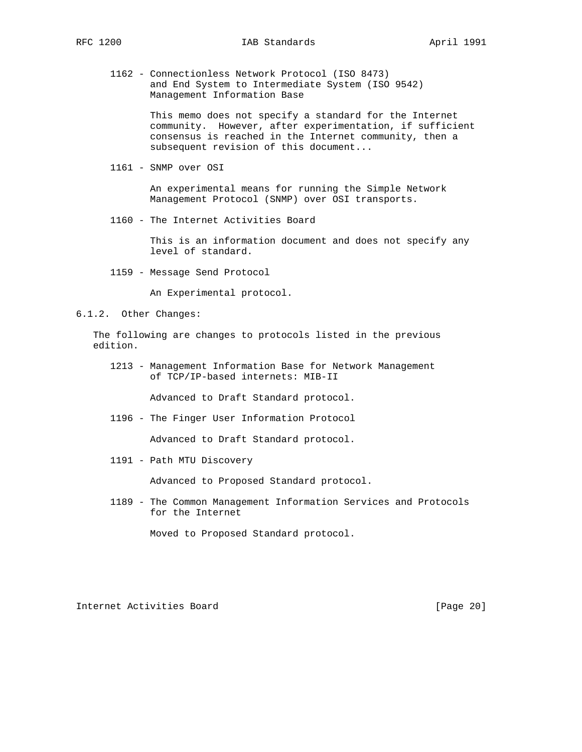1162 - Connectionless Network Protocol (ISO 8473) and End System to Intermediate System (ISO 9542) Management Information Base

> This memo does not specify a standard for the Internet community. However, after experimentation, if sufficient consensus is reached in the Internet community, then a subsequent revision of this document...

1161 - SNMP over OSI

 An experimental means for running the Simple Network Management Protocol (SNMP) over OSI transports.

1160 - The Internet Activities Board

 This is an information document and does not specify any level of standard.

1159 - Message Send Protocol

An Experimental protocol.

6.1.2. Other Changes:

 The following are changes to protocols listed in the previous edition.

 1213 - Management Information Base for Network Management of TCP/IP-based internets: MIB-II

Advanced to Draft Standard protocol.

1196 - The Finger User Information Protocol

Advanced to Draft Standard protocol.

1191 - Path MTU Discovery

Advanced to Proposed Standard protocol.

 1189 - The Common Management Information Services and Protocols for the Internet

Moved to Proposed Standard protocol.

Internet Activities Board [Page 20]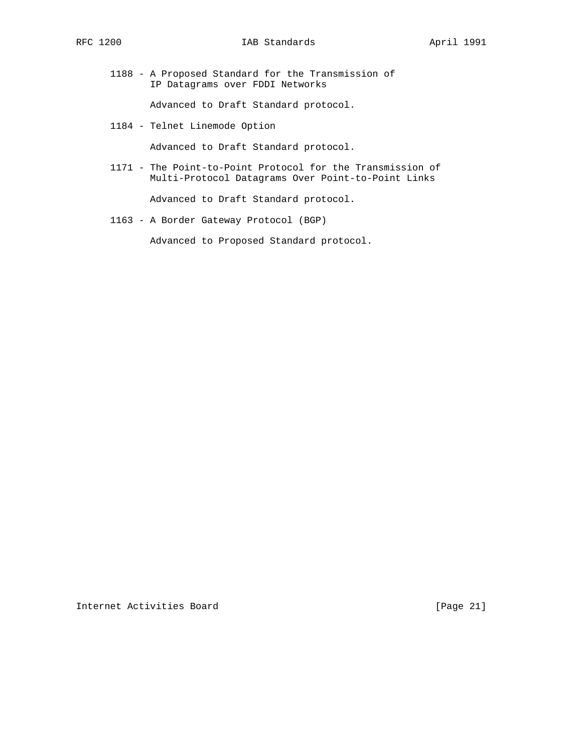1188 - A Proposed Standard for the Transmission of IP Datagrams over FDDI Networks

Advanced to Draft Standard protocol.

1184 - Telnet Linemode Option

Advanced to Draft Standard protocol.

 1171 - The Point-to-Point Protocol for the Transmission of Multi-Protocol Datagrams Over Point-to-Point Links

Advanced to Draft Standard protocol.

1163 - A Border Gateway Protocol (BGP)

Advanced to Proposed Standard protocol.

Internet Activities Board [Page 21]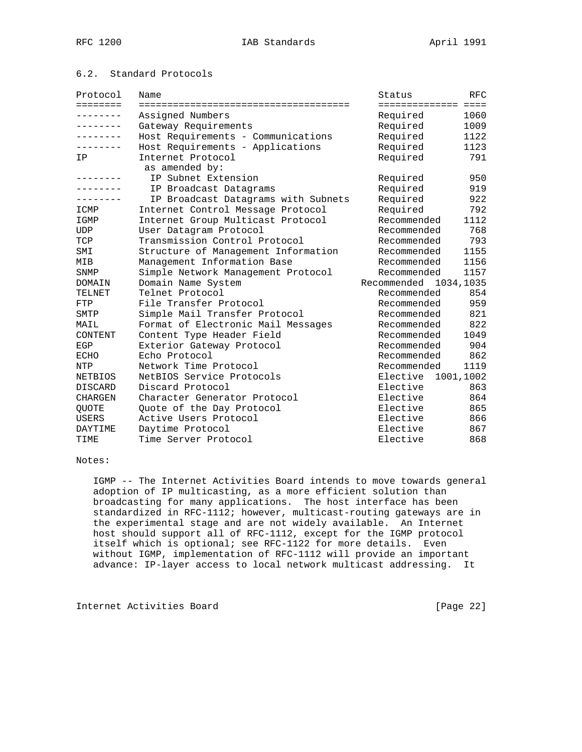## 6.2. Standard Protocols

| Protocol          | Name                                | Status               | <b>RFC</b> |
|-------------------|-------------------------------------|----------------------|------------|
| $=$ = = = = = = = |                                     | ==================== |            |
| $- - - - - - - -$ | Assigned Numbers                    | Required             | 1060       |
| ---------         | Gateway Requirements                | Required             | 1009       |
| --------          | Host Requirements - Communications  | Required             | 1122       |
|                   | Host Requirements - Applications    | Required             | 1123       |
| ΙP                | Internet Protocol                   | Required             | 791        |
|                   | as amended by:                      |                      |            |
|                   | IP Subnet Extension                 | Required             | 950        |
|                   | IP Broadcast Datagrams              | Required             | 919        |
|                   | IP Broadcast Datagrams with Subnets | Required             | 922        |
| ICMP              | Internet Control Message Protocol   | Required             | 792        |
| IGMP              | Internet Group Multicast Protocol   | Recommended          | 1112       |
| <b>UDP</b>        | User Datagram Protocol              | Recommended          | 768        |
| TCP               | Transmission Control Protocol       | Recommended          | 793        |
| SMI               | Structure of Management Information | Recommended          | 1155       |
| MIB               | Management Information Base         | Recommended          | 1156       |
| SNMP              | Simple Network Management Protocol  | Recommended          | 1157       |
| DOMAIN            | Domain Name System                  | Recommended          | 1034,1035  |
| TELNET            | Telnet Protocol                     | Recommended          | 854        |
| FTP               | File Transfer Protocol              | Recommended          | 959        |
| SMTP              | Simple Mail Transfer Protocol       | Recommended          | 821        |
| MAIL              | Format of Electronic Mail Messages  | Recommended          | 822        |
| CONTENT           | Content Type Header Field           | Recommended          | 1049       |
| EGP               | Exterior Gateway Protocol           | Recommended          | 904        |
| ECHO              | Echo Protocol                       | Recommended          | 862        |
| NTP               | Network Time Protocol               | Recommended          | 1119       |
| <b>NETBIOS</b>    | NetBIOS Service Protocols           | Elective             | 1001,1002  |
| <b>DISCARD</b>    | Discard Protocol                    | Elective             | 863        |
| <b>CHARGEN</b>    | Character Generator Protocol        | Elective             | 864        |
| <b>OUOTE</b>      | Ouote of the Day Protocol           | Elective             | 865        |
| <b>USERS</b>      | Active Users Protocol               | Elective             | 866        |
| DAYTIME           | Daytime Protocol                    | Elective             | 867        |
| TIME              | Time Server Protocol                | Elective             | 868        |

#### Notes:

 IGMP -- The Internet Activities Board intends to move towards general adoption of IP multicasting, as a more efficient solution than broadcasting for many applications. The host interface has been standardized in RFC-1112; however, multicast-routing gateways are in the experimental stage and are not widely available. An Internet host should support all of RFC-1112, except for the IGMP protocol itself which is optional; see RFC-1122 for more details. Even without IGMP, implementation of RFC-1112 will provide an important advance: IP-layer access to local network multicast addressing. It

Internet Activities Board [Page 22]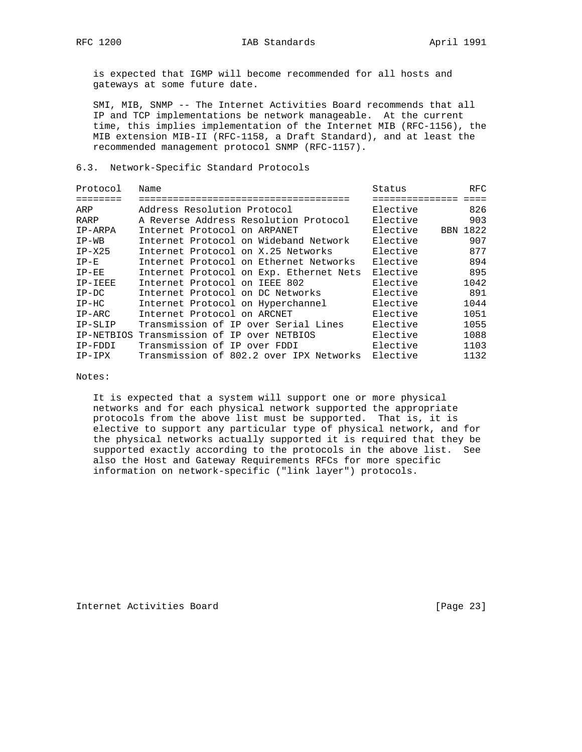is expected that IGMP will become recommended for all hosts and gateways at some future date.

 SMI, MIB, SNMP -- The Internet Activities Board recommends that all IP and TCP implementations be network manageable. At the current time, this implies implementation of the Internet MIB (RFC-1156), the MIB extension MIB-II (RFC-1158, a Draft Standard), and at least the recommended management protocol SNMP (RFC-1157).

#### 6.3. Network-Specific Standard Protocols

| Protocol   | Name                                    | Status   | RFC.     |
|------------|-----------------------------------------|----------|----------|
|            |                                         |          |          |
| ARP        | Address Resolution Protocol             | Elective | 826      |
| RARP       | A Reverse Address Resolution Protocol   | Elective | 903      |
| IP-ARPA    | Internet Protocol on ARPANET            | Elective | BBN 1822 |
| $IP-WB$    | Internet Protocol on Wideband Network   | Elective | 907      |
| $IP-X25$   | Internet Protocol on X.25 Networks      | Elective | 877      |
| $IP-E$     | Internet Protocol on Ethernet Networks  | Elective | 894      |
| $IP-EE$    | Internet Protocol on Exp. Ethernet Nets | Elective | 895      |
| IP-IEEE    | Internet Protocol on IEEE 802           | Elective | 1042     |
| $IP-DC$    | Internet Protocol on DC Networks        | Elective | 891      |
| $IP-HC$    | Internet Protocol on Hyperchannel       | Elective | 1044     |
| IP-ARC     | Internet Protocol on ARCNET             | Elective | 1051     |
| IP-SLIP    | Transmission of IP over Serial Lines    | Elective | 1055     |
| IP-NETBIOS | Transmission of IP over NETBIOS         | Elective | 1088     |
| IP-FDDI    | Transmission of IP over FDDI            | Elective | 1103     |
| IP-IPX     | Transmission of 802.2 over IPX Networks | Elective | 1132     |

Notes:

 It is expected that a system will support one or more physical networks and for each physical network supported the appropriate protocols from the above list must be supported. That is, it is elective to support any particular type of physical network, and for the physical networks actually supported it is required that they be supported exactly according to the protocols in the above list. See also the Host and Gateway Requirements RFCs for more specific information on network-specific ("link layer") protocols.

Internet Activities Board [Page 23]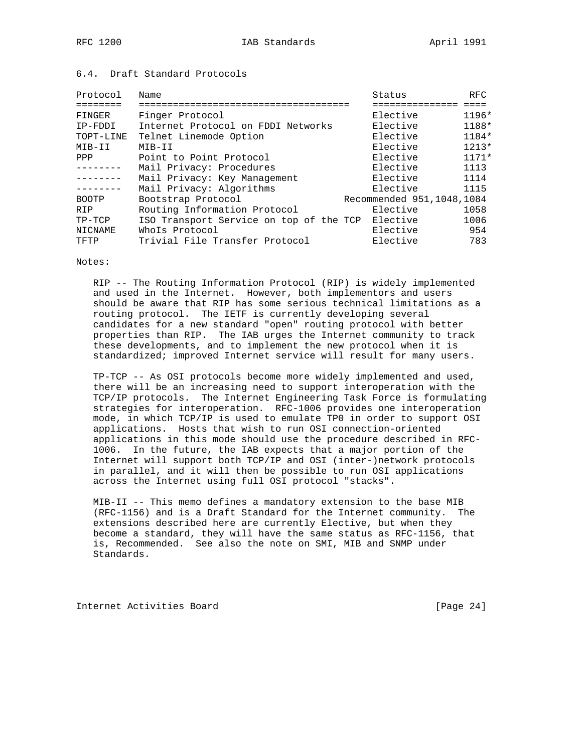## 6.4. Draft Standard Protocols

| Name                               | Status   | RFC                                                                                                     |
|------------------------------------|----------|---------------------------------------------------------------------------------------------------------|
|                                    |          |                                                                                                         |
| Finger Protocol                    | Elective | $1196*$                                                                                                 |
| Internet Protocol on FDDI Networks | Elective | 1188*                                                                                                   |
| Telnet Linemode Option             | Elective | $1184*$                                                                                                 |
| MIB-II                             | Elective | $1213*$                                                                                                 |
| Point to Point Protocol            | Elective | $1171*$                                                                                                 |
| Mail Privacy: Procedures           |          | 1113                                                                                                    |
| Mail Privacy: Key Management       |          | 1114                                                                                                    |
| Mail Privacy: Algorithms           | Elective | 1115                                                                                                    |
| Bootstrap Protocol                 |          |                                                                                                         |
| Routing Information Protocol       | Elective | 1058                                                                                                    |
|                                    |          | 1006                                                                                                    |
| WhoIs Protocol                     | Elective | 954                                                                                                     |
| Trivial File Transfer Protocol     | Elective | 783                                                                                                     |
|                                    |          | Elective<br>Elective<br>Recommended 951, 1048, 1084<br>ISO Transport Service on top of the TCP Elective |

#### Notes:

 RIP -- The Routing Information Protocol (RIP) is widely implemented and used in the Internet. However, both implementors and users should be aware that RIP has some serious technical limitations as a routing protocol. The IETF is currently developing several candidates for a new standard "open" routing protocol with better properties than RIP. The IAB urges the Internet community to track these developments, and to implement the new protocol when it is standardized; improved Internet service will result for many users.

 TP-TCP -- As OSI protocols become more widely implemented and used, there will be an increasing need to support interoperation with the TCP/IP protocols. The Internet Engineering Task Force is formulating strategies for interoperation. RFC-1006 provides one interoperation mode, in which TCP/IP is used to emulate TP0 in order to support OSI applications. Hosts that wish to run OSI connection-oriented applications in this mode should use the procedure described in RFC- 1006. In the future, the IAB expects that a major portion of the Internet will support both TCP/IP and OSI (inter-)network protocols in parallel, and it will then be possible to run OSI applications across the Internet using full OSI protocol "stacks".

 MIB-II -- This memo defines a mandatory extension to the base MIB (RFC-1156) and is a Draft Standard for the Internet community. The extensions described here are currently Elective, but when they become a standard, they will have the same status as RFC-1156, that is, Recommended. See also the note on SMI, MIB and SNMP under Standards.

Internet Activities Board [Page 24]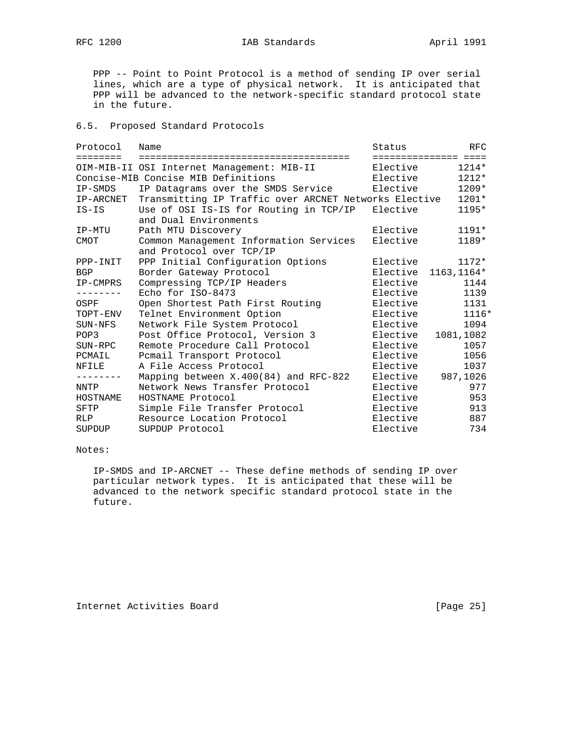RFC 1200 **IAB Standards** April 1991

 PPP -- Point to Point Protocol is a method of sending IP over serial lines, which are a type of physical network. It is anticipated that PPP will be advanced to the network-specific standard protocol state in the future.

#### 6.5. Proposed Standard Protocols

| Protocol          | Name                                                  | Status   | RFC                    |
|-------------------|-------------------------------------------------------|----------|------------------------|
| ========          |                                                       |          | ====================== |
|                   | OIM-MIB-II OSI Internet Management: MIB-II            | Elective | $1214*$                |
|                   | Concise-MIB Concise MIB Definitions                   | Elective | $1212*$                |
| IP-SMDS           | IP Datagrams over the SMDS Service                    | Elective | 1209*                  |
| IP-ARCNET         | Transmitting IP Traffic over ARCNET Networks Elective |          | 1201*                  |
| $IS-IS$           | Use of OSI IS-IS for Routing in TCP/IP                | Elective | 1195*                  |
|                   | and Dual Environments                                 |          |                        |
| IP-MTU            | Path MTU Discovery                                    | Elective | $1191*$                |
| <b>CMOT</b>       | Common Management Information Services                | Elective | 1189*                  |
|                   | and Protocol over TCP/IP                              |          |                        |
| PPP-INIT          | PPP Initial Configuration Options                     | Elective | $1172*$                |
| BGP               | Border Gateway Protocol                               | Elective | $1163, 1164*$          |
| IP-CMPRS          | Compressing TCP/IP Headers                            | Elective | 1144                   |
|                   | Echo for ISO-8473                                     | Elective | 1139                   |
| OSPF              | Open Shortest Path First Routing                      | Elective | 1131                   |
| TOPT-ENV          | Telnet Environment Option                             | Elective | 1116*                  |
| SUN-NFS           | Network File System Protocol                          | Elective | 1094                   |
| POP3              | Post Office Protocol, Version 3                       | Elective | 1081,1082              |
| SUN-RPC           | Remote Procedure Call Protocol                        | Elective | 1057                   |
| PCMAIL            | Pcmail Transport Protocol                             | Elective | 1056                   |
| NFILE             | A File Access Protocol                                | Elective | 1037                   |
| $- - - - - - - -$ | Mapping between X.400(84) and RFC-822                 | Elective | 987,1026               |
| NNTP              | Network News Transfer Protocol                        | Elective | 977                    |
| HOSTNAME          | HOSTNAME Protocol                                     | Elective | 953                    |
| SFTP              | Simple File Transfer Protocol                         | Elective | 913                    |
| <b>RLP</b>        | Resource Location Protocol                            | Elective | 887                    |
| SUPDUP            | SUPDUP Protocol                                       | Elective | 734                    |

### Notes:

 IP-SMDS and IP-ARCNET -- These define methods of sending IP over particular network types. It is anticipated that these will be advanced to the network specific standard protocol state in the future.

Internet Activities Board [Page 25]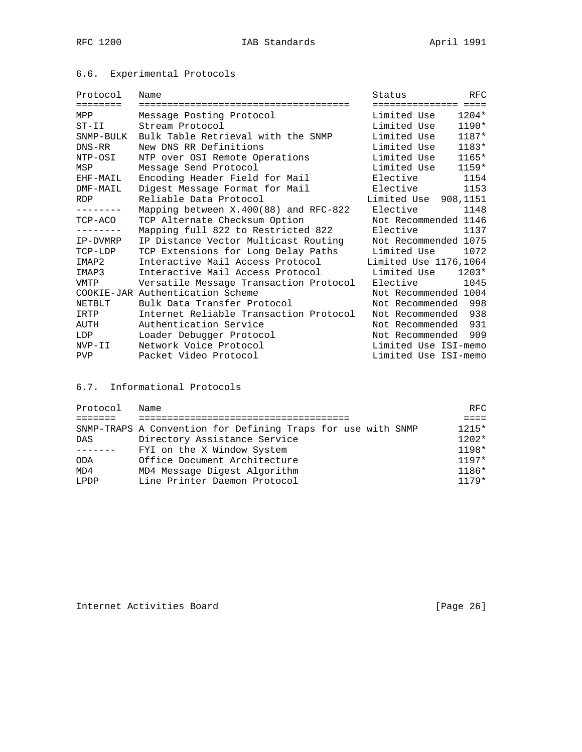# 6.6. Experimental Protocols

| Protocol   | Name                                    | Status                 | <b>RFC</b> |
|------------|-----------------------------------------|------------------------|------------|
| ========   |                                         | ====================== |            |
| <b>MPP</b> | Message Posting Protocol                | Limited Use            | 1204*      |
| $ST-II$    | Stream Protocol                         | Limited Use            | $1190*$    |
| SNMP-BULK  | Bulk Table Retrieval with the SNMP      | Limited Use            | 1187*      |
| $DNS-RR$   | New DNS RR Definitions                  | Limited Use            | 1183*      |
| NTP-OSI    | NTP over OSI Remote Operations          | Limited Use            | 1165*      |
| MSP        | Message Send Protocol                   | Limited Use            | 1159*      |
| EHF-MAIL   | Encoding Header Field for Mail          | Elective               | 1154       |
| DMF-MAIL   | Digest Message Format for Mail          | Elective               | 1153       |
| <b>RDP</b> | Reliable Data Protocol                  | Limited Use 908, 1151  |            |
| --------   | Mapping between $X.400(88)$ and RFC-822 | Elective               | 1148       |
| TCP-ACO    | TCP Alternate Checksum Option           | Not Recommended 1146   |            |
|            | Mapping full 822 to Restricted 822      | Elective               | 1137       |
| IP-DVMRP   | IP Distance Vector Multicast Routing    | Not Recommended 1075   |            |
| TCP-LDP    | TCP Extensions for Long Delay Paths     | Limited Use            | 1072       |
| IMAP2      | Interactive Mail Access Protocol        | Limited Use 1176,1064  |            |
| IMAP3      | Interactive Mail Access Protocol        | Limited Use            | $1203*$    |
| VMTP       | Versatile Message Transaction Protocol  | Elective               | 1045       |
|            | COOKIE-JAR Authentication Scheme        | Not Recommended 1004   |            |
| NETBLT     | Bulk Data Transfer Protocol             | Not Recommended        | 998        |
| IRTP       | Internet Reliable Transaction Protocol  | Not Recommended        | 938        |
| AUTH       | Authentication Service                  | Not Recommended        | 931        |
| LDP        | Loader Debugger Protocol                | Not Recommended        | 909        |
| NVP-II     | Network Voice Protocol                  | Limited Use ISI-memo   |            |
| <b>PVP</b> | Packet Video Protocol                   | Limited Use ISI-memo   |            |

6.7. Informational Protocols

| Protocol | Name                                                         | RFC.    |
|----------|--------------------------------------------------------------|---------|
|          |                                                              |         |
|          | SNMP-TRAPS A Convention for Defining Traps for use with SNMP | $1215*$ |
| DAS      | Directory Assistance Service                                 | $1202*$ |
|          | FYI on the X Window System                                   | $1198*$ |
| ODA      | Office Document Architecture                                 | $1197*$ |
| MD4      | MD4 Message Digest Algorithm                                 | $1186*$ |
| LPDP     | Line Printer Daemon Protocol                                 | $1179*$ |

Internet Activities Board [Page 26]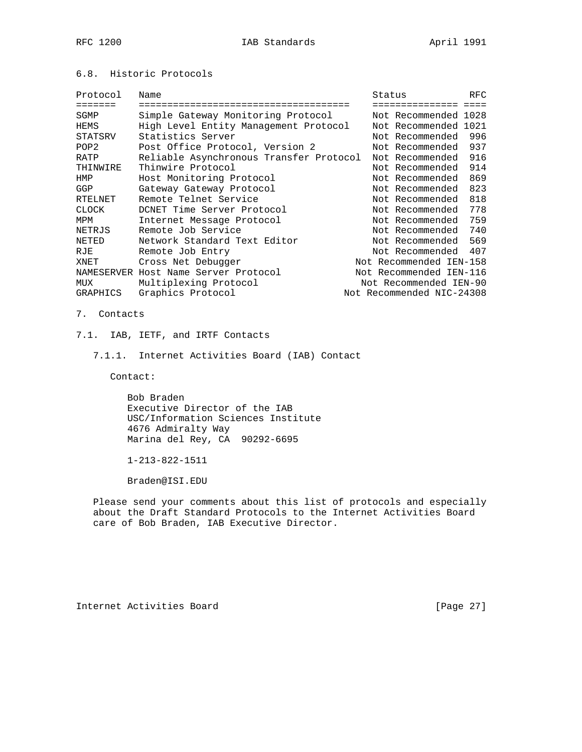# 6.8. Historic Protocols

| Protocol         | Name                                    | Status |  |                           | <b>RFC</b> |
|------------------|-----------------------------------------|--------|--|---------------------------|------------|
| =======          | ==================================      |        |  | =============             |            |
| SGMP             | Simple Gateway Monitoring Protocol      |        |  | Not Recommended 1028      |            |
| HEMS             | High Level Entity Management Protocol   |        |  | Not Recommended 1021      |            |
| STATSRV          | Statistics Server                       |        |  | Not Recommended           | 996        |
| POP <sub>2</sub> | Post Office Protocol, Version 2         |        |  | Not Recommended           | 937        |
| RATP             | Reliable Asynchronous Transfer Protocol |        |  | Not Recommended           | 916        |
| THINWIRE         | Thinwire Protocol                       |        |  | Not Recommended           | 914        |
| HMP              | Host Monitoring Protocol                |        |  | Not Recommended           | 869        |
| GGP              | Gateway Gateway Protocol                |        |  | Not Recommended           | 823        |
| RTELNET          | Remote Telnet Service                   |        |  | Not Recommended           | 818        |
| CLOCK            | DCNET Time Server Protocol              |        |  | Not Recommended           | 778        |
| MPM              | Internet Message Protocol               |        |  | Not Recommended           | 759        |
| NETRJS           | Remote Job Service                      |        |  | Not Recommended 740       |            |
| NETED            | Network Standard Text Editor            |        |  | Not Recommended 569       |            |
| RJE              | Remote Job Entry                        |        |  | Not Recommended           | 407        |
| XNET             | Cross Net Debugger                      |        |  | Not Recommended IEN-158   |            |
|                  | NAMESERVER Host Name Server Protocol    |        |  | Not Recommended IEN-116   |            |
| MUX              | Multiplexing Protocol                   |        |  | Not Recommended IEN-90    |            |
| GRAPHICS         | Graphics Protocol                       |        |  | Not Recommended NIC-24308 |            |

- 7. Contacts
- 7.1. IAB, IETF, and IRTF Contacts
	- 7.1.1. Internet Activities Board (IAB) Contact

Contact:

 Bob Braden Executive Director of the IAB USC/Information Sciences Institute 4676 Admiralty Way Marina del Rey, CA 90292-6695

1-213-822-1511

Braden@ISI.EDU

 Please send your comments about this list of protocols and especially about the Draft Standard Protocols to the Internet Activities Board care of Bob Braden, IAB Executive Director.

Internet Activities Board [Page 27]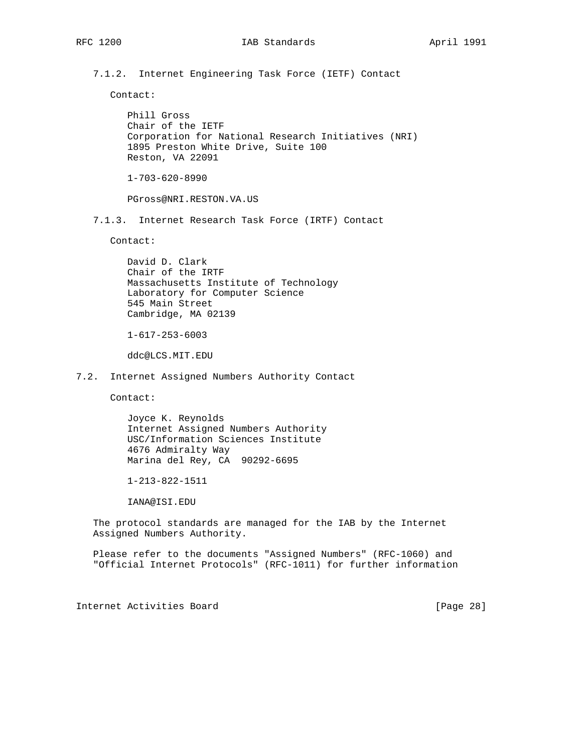7.1.2. Internet Engineering Task Force (IETF) Contact

Contact:

 Phill Gross Chair of the IETF Corporation for National Research Initiatives (NRI) 1895 Preston White Drive, Suite 100 Reston, VA 22091

1-703-620-8990

PGross@NRI.RESTON.VA.US

7.1.3. Internet Research Task Force (IRTF) Contact

Contact:

 David D. Clark Chair of the IRTF Massachusetts Institute of Technology Laboratory for Computer Science 545 Main Street Cambridge, MA 02139

1-617-253-6003

ddc@LCS.MIT.EDU

7.2. Internet Assigned Numbers Authority Contact

Contact:

 Joyce K. Reynolds Internet Assigned Numbers Authority USC/Information Sciences Institute 4676 Admiralty Way Marina del Rey, CA 90292-6695

1-213-822-1511

IANA@ISI.EDU

 The protocol standards are managed for the IAB by the Internet Assigned Numbers Authority.

 Please refer to the documents "Assigned Numbers" (RFC-1060) and "Official Internet Protocols" (RFC-1011) for further information

Internet Activities Board [Page 28]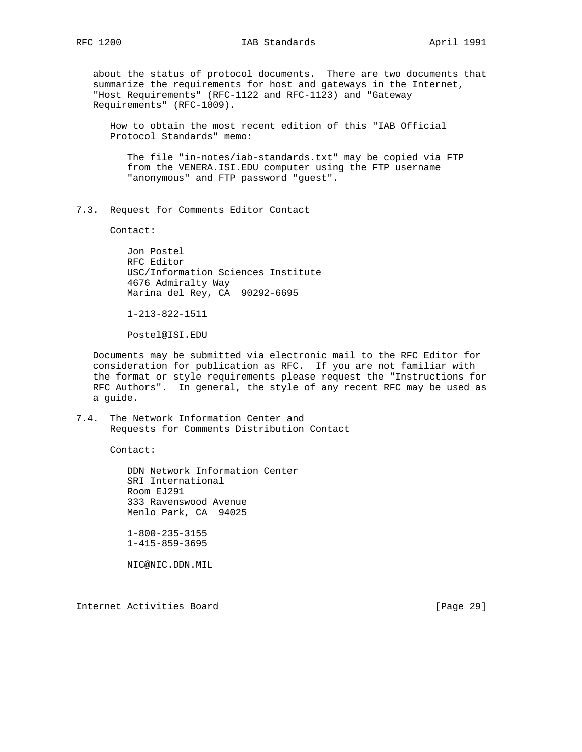about the status of protocol documents. There are two documents that summarize the requirements for host and gateways in the Internet, "Host Requirements" (RFC-1122 and RFC-1123) and "Gateway Requirements" (RFC-1009).

 How to obtain the most recent edition of this "IAB Official Protocol Standards" memo:

 The file "in-notes/iab-standards.txt" may be copied via FTP from the VENERA.ISI.EDU computer using the FTP username "anonymous" and FTP password "guest".

7.3. Request for Comments Editor Contact

Contact:

 Jon Postel RFC Editor USC/Information Sciences Institute 4676 Admiralty Way Marina del Rey, CA 90292-6695

1-213-822-1511

Postel@ISI.EDU

 Documents may be submitted via electronic mail to the RFC Editor for consideration for publication as RFC. If you are not familiar with the format or style requirements please request the "Instructions for RFC Authors". In general, the style of any recent RFC may be used as a guide.

7.4. The Network Information Center and Requests for Comments Distribution Contact

Contact:

 DDN Network Information Center SRI International Room EJ291 333 Ravenswood Avenue Menlo Park, CA 94025

 1-800-235-3155 1-415-859-3695

NIC@NIC.DDN.MIL

Internet Activities Board [Page 29]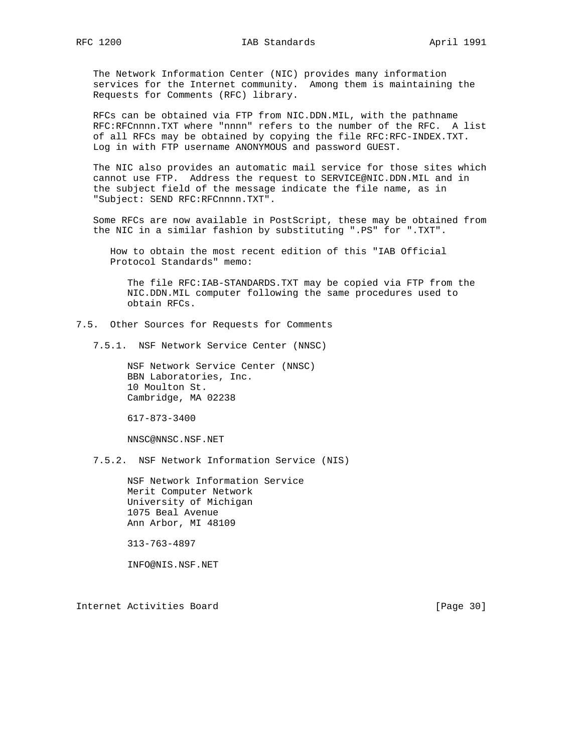The Network Information Center (NIC) provides many information services for the Internet community. Among them is maintaining the Requests for Comments (RFC) library.

 RFCs can be obtained via FTP from NIC.DDN.MIL, with the pathname RFC:RFCnnnn.TXT where "nnnn" refers to the number of the RFC. A list of all RFCs may be obtained by copying the file RFC:RFC-INDEX.TXT. Log in with FTP username ANONYMOUS and password GUEST.

 The NIC also provides an automatic mail service for those sites which cannot use FTP. Address the request to SERVICE@NIC.DDN.MIL and in the subject field of the message indicate the file name, as in "Subject: SEND RFC:RFCnnnn.TXT".

 Some RFCs are now available in PostScript, these may be obtained from the NIC in a similar fashion by substituting ".PS" for ".TXT".

 How to obtain the most recent edition of this "IAB Official Protocol Standards" memo:

 The file RFC:IAB-STANDARDS.TXT may be copied via FTP from the NIC.DDN.MIL computer following the same procedures used to obtain RFCs.

7.5. Other Sources for Requests for Comments

7.5.1. NSF Network Service Center (NNSC)

 NSF Network Service Center (NNSC) BBN Laboratories, Inc. 10 Moulton St. Cambridge, MA 02238

617-873-3400

NNSC@NNSC.NSF.NET

7.5.2. NSF Network Information Service (NIS)

 NSF Network Information Service Merit Computer Network University of Michigan 1075 Beal Avenue Ann Arbor, MI 48109

313-763-4897

INFO@NIS.NSF.NET

Internet Activities Board [Page 30]